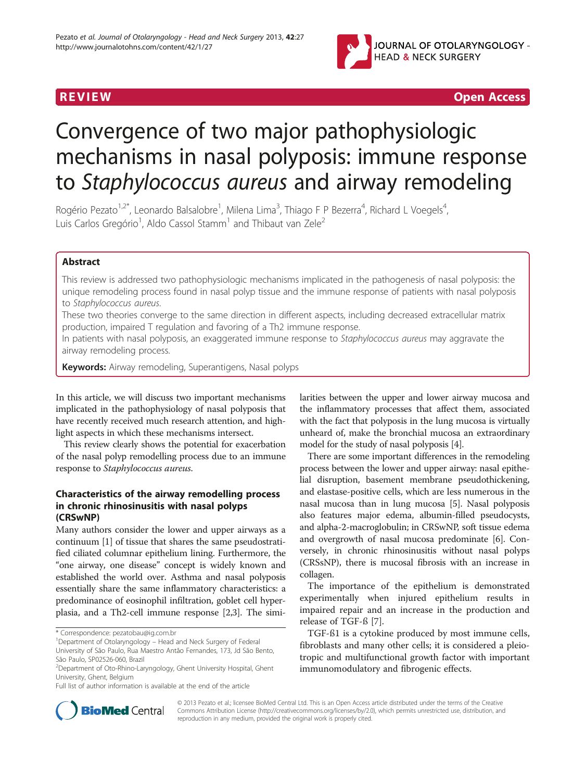

**REVIEW CONSIDERING CONSIDERING CONSIDERING CONSIDERING CONSIDERING CONSIDERING CONSIDERING CONSIDERING CONSIDERING CONSIDERING CONSIDERING CONSIDERING CONSIDERING CONSIDERING CONSIDERING CONSIDERING CONSIDERING CONSIDER** 

# Convergence of two major pathophysiologic mechanisms in nasal polyposis: immune response to Staphylococcus aureus and airway remodeling

Rogério Pezato<sup>1,2\*</sup>, Leonardo Balsalobre<sup>1</sup>, Milena Lima<sup>3</sup>, Thiago F P Bezerra<sup>4</sup>, Richard L Voegels<sup>4</sup> , Luis Carlos Gregório<sup>1</sup>, Aldo Cassol Stamm<sup>1</sup> and Thibaut van Zele<sup>2</sup>

# Abstract

This review is addressed two pathophysiologic mechanisms implicated in the pathogenesis of nasal polyposis: the unique remodeling process found in nasal polyp tissue and the immune response of patients with nasal polyposis to Staphylococcus aureus.

These two theories converge to the same direction in different aspects, including decreased extracellular matrix production, impaired T regulation and favoring of a Th2 immune response.

In patients with nasal polyposis, an exaggerated immune response to Staphylococcus aureus may aggravate the airway remodeling process.

Keywords: Airway remodeling, Superantigens, Nasal polyps

In this article, we will discuss two important mechanisms implicated in the pathophysiology of nasal polyposis that have recently received much research attention, and highlight aspects in which these mechanisms intersect.

This review clearly shows the potential for exacerbation of the nasal polyp remodelling process due to an immune response to Staphylococcus aureus.

# Characteristics of the airway remodelling process in chronic rhinosinusitis with nasal polyps (CRSwNP)

Many authors consider the lower and upper airways as a continuum [[1\]](#page-3-0) of tissue that shares the same pseudostratified ciliated columnar epithelium lining. Furthermore, the "one airway, one disease" concept is widely known and established the world over. Asthma and nasal polyposis essentially share the same inflammatory characteristics: a predominance of eosinophil infiltration, goblet cell hyperplasia, and a Th2-cell immune response [\[2,3](#page-3-0)]. The similarities between the upper and lower airway mucosa and the inflammatory processes that affect them, associated with the fact that polyposis in the lung mucosa is virtually unheard of, make the bronchial mucosa an extraordinary model for the study of nasal polyposis [[4\]](#page-3-0).

There are some important differences in the remodeling process between the lower and upper airway: nasal epithelial disruption, basement membrane pseudothickening, and elastase-positive cells, which are less numerous in the nasal mucosa than in lung mucosa [\[5](#page-3-0)]. Nasal polyposis also features major edema, albumin-filled pseudocysts, and alpha-2-macroglobulin; in CRSwNP, soft tissue edema and overgrowth of nasal mucosa predominate [[6\]](#page-3-0). Conversely, in chronic rhinosinusitis without nasal polyps (CRSsNP), there is mucosal fibrosis with an increase in collagen.

The importance of the epithelium is demonstrated experimentally when injured epithelium results in impaired repair and an increase in the production and release of TGF-ß [\[7](#page-3-0)].

TGF-ß1 is a cytokine produced by most immune cells, fibroblasts and many other cells; it is considered a pleiotropic and multifunctional growth factor with important immunomodulatory and fibrogenic effects.



© 2013 Pezato et al.; licensee BioMed Central Ltd. This is an Open Access article distributed under the terms of the Creative Commons Attribution License [\(http://creativecommons.org/licenses/by/2.0\)](http://creativecommons.org/licenses/by/2.0), which permits unrestricted use, distribution, and reproduction in any medium, provided the original work is properly cited.

<sup>\*</sup> Correspondence: [pezatobau@ig.com.br](mailto:pezatobau@ig.com.br) <sup>1</sup>

<sup>&</sup>lt;sup>1</sup>Department of Otolaryngology – Head and Neck Surgery of Federal

University of São Paulo, Rua Maestro Antão Fernandes, 173, Jd São Bento, São Paulo, SP02526-060, Brazil

<sup>2</sup> Department of Oto-Rhino-Laryngology, Ghent University Hospital, Ghent University, Ghent, Belgium

Full list of author information is available at the end of the article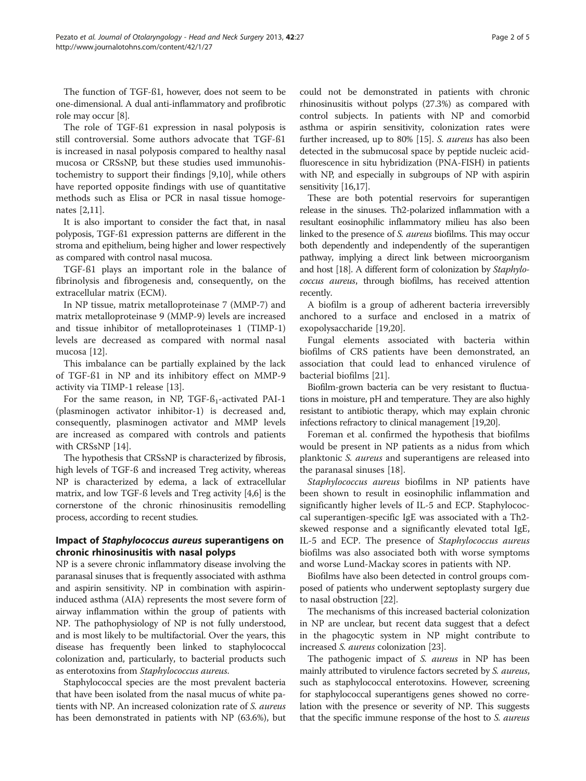The function of TGF-ß1, however, does not seem to be one-dimensional. A dual anti-inflammatory and profibrotic role may occur [[8\]](#page-3-0).

The role of TGF-ß1 expression in nasal polyposis is still controversial. Some authors advocate that TGF-ß1 is increased in nasal polyposis compared to healthy nasal mucosa or CRSsNP, but these studies used immunohistochemistry to support their findings [[9,10\]](#page-3-0), while others have reported opposite findings with use of quantitative methods such as Elisa or PCR in nasal tissue homogenates [[2,](#page-3-0)[11\]](#page-4-0).

It is also important to consider the fact that, in nasal polyposis, TGF-ß1 expression patterns are different in the stroma and epithelium, being higher and lower respectively as compared with control nasal mucosa.

TGF-ß1 plays an important role in the balance of fibrinolysis and fibrogenesis and, consequently, on the extracellular matrix (ECM).

In NP tissue, matrix metalloproteinase 7 (MMP-7) and matrix metalloproteinase 9 (MMP-9) levels are increased and tissue inhibitor of metalloproteinases 1 (TIMP-1) levels are decreased as compared with normal nasal mucosa [[12\]](#page-4-0).

This imbalance can be partially explained by the lack of TGF-ß1 in NP and its inhibitory effect on MMP-9 activity via TIMP-1 release [\[13](#page-4-0)].

For the same reason, in NP, TGF- $\beta_1$ -activated PAI-1 (plasminogen activator inhibitor-1) is decreased and, consequently, plasminogen activator and MMP levels are increased as compared with controls and patients with CRSsNP [\[14\]](#page-4-0).

The hypothesis that CRSsNP is characterized by fibrosis, high levels of TGF-ß and increased Treg activity, whereas NP is characterized by edema, a lack of extracellular matrix, and low TGF-ß levels and Treg activity [\[4,6](#page-3-0)] is the cornerstone of the chronic rhinosinusitis remodelling process, according to recent studies.

# Impact of Staphylococcus aureus superantigens on chronic rhinosinusitis with nasal polyps

NP is a severe chronic inflammatory disease involving the paranasal sinuses that is frequently associated with asthma and aspirin sensitivity. NP in combination with aspirininduced asthma (AIA) represents the most severe form of airway inflammation within the group of patients with NP. The pathophysiology of NP is not fully understood, and is most likely to be multifactorial. Over the years, this disease has frequently been linked to staphylococcal colonization and, particularly, to bacterial products such as enterotoxins from Staphylococcus aureus.

Staphylococcal species are the most prevalent bacteria that have been isolated from the nasal mucus of white patients with NP. An increased colonization rate of S. aureus has been demonstrated in patients with NP (63.6%), but

could not be demonstrated in patients with chronic rhinosinusitis without polyps (27.3%) as compared with control subjects. In patients with NP and comorbid asthma or aspirin sensitivity, colonization rates were further increased, up to 80% [\[15\]](#page-4-0). S. aureus has also been detected in the submucosal space by peptide nucleic acidfluorescence in situ hybridization (PNA-FISH) in patients with NP, and especially in subgroups of NP with aspirin sensitivity [[16,17](#page-4-0)].

These are both potential reservoirs for superantigen release in the sinuses. Th2-polarized inflammation with a resultant eosinophilic inflammatory milieu has also been linked to the presence of S. aureus biofilms. This may occur both dependently and independently of the superantigen pathway, implying a direct link between microorganism and host [\[18\]](#page-4-0). A different form of colonization by Staphylococcus aureus, through biofilms, has received attention recently.

A biofilm is a group of adherent bacteria irreversibly anchored to a surface and enclosed in a matrix of exopolysaccharide [[19,20\]](#page-4-0).

Fungal elements associated with bacteria within biofilms of CRS patients have been demonstrated, an association that could lead to enhanced virulence of bacterial biofilms [\[21\]](#page-4-0).

Biofilm-grown bacteria can be very resistant to fluctuations in moisture, pH and temperature. They are also highly resistant to antibiotic therapy, which may explain chronic infections refractory to clinical management [[19,20](#page-4-0)].

Foreman et al. confirmed the hypothesis that biofilms would be present in NP patients as a nidus from which planktonic S. aureus and superantigens are released into the paranasal sinuses [[18\]](#page-4-0).

Staphylococcus aureus biofilms in NP patients have been shown to result in eosinophilic inflammation and significantly higher levels of IL-5 and ECP. Staphylococcal superantigen-specific IgE was associated with a Th2 skewed response and a significantly elevated total IgE, IL-5 and ECP. The presence of Staphylococcus aureus biofilms was also associated both with worse symptoms and worse Lund-Mackay scores in patients with NP.

Biofilms have also been detected in control groups composed of patients who underwent septoplasty surgery due to nasal obstruction [[22\]](#page-4-0).

The mechanisms of this increased bacterial colonization in NP are unclear, but recent data suggest that a defect in the phagocytic system in NP might contribute to increased S. aureus colonization [[23](#page-4-0)].

The pathogenic impact of S. aureus in NP has been mainly attributed to virulence factors secreted by *S. aureus*, such as staphylococcal enterotoxins. However, screening for staphylococcal superantigens genes showed no correlation with the presence or severity of NP. This suggests that the specific immune response of the host to S. aureus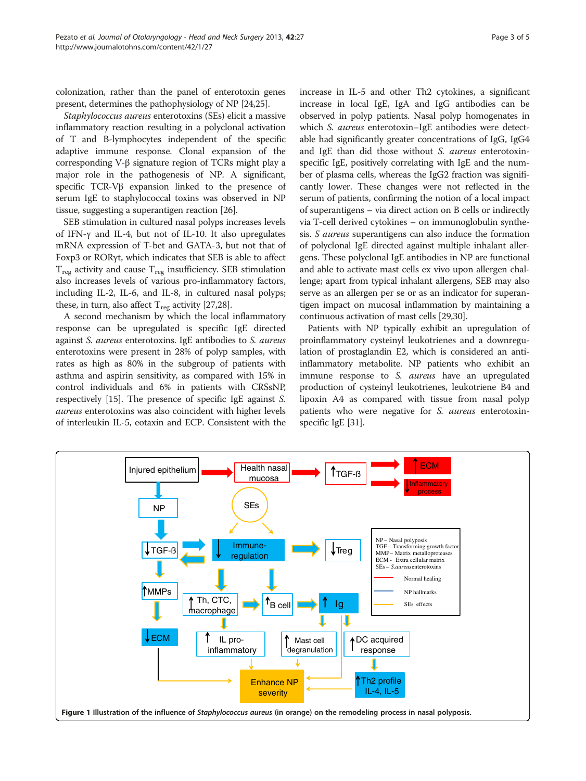<span id="page-2-0"></span>colonization, rather than the panel of enterotoxin genes present, determines the pathophysiology of NP [\[24,25](#page-4-0)].

Staphylococcus aureus enterotoxins (SEs) elicit a massive inflammatory reaction resulting in a polyclonal activation of T and B-lymphocytes independent of the specific adaptive immune response. Clonal expansion of the corresponding V-β signature region of TCRs might play a major role in the pathogenesis of NP. A significant, specific TCR-Vβ expansion linked to the presence of serum IgE to staphylococcal toxins was observed in NP tissue, suggesting a superantigen reaction [\[26\]](#page-4-0).

SEB stimulation in cultured nasal polyps increases levels of IFN-γ and IL-4, but not of IL-10. It also upregulates mRNA expression of T-bet and GATA-3, but not that of Foxp3 or RORγt, which indicates that SEB is able to affect  $T_{\text{reg}}$  activity and cause  $T_{\text{reg}}$  insufficiency. SEB stimulation also increases levels of various pro-inflammatory factors, including IL-2, IL-6, and IL-8, in cultured nasal polyps; these, in turn, also affect  $T_{reg}$  activity [\[27,28\]](#page-4-0).

A second mechanism by which the local inflammatory response can be upregulated is specific IgE directed against S. aureus enterotoxins. IgE antibodies to S. aureus enterotoxins were present in 28% of polyp samples, with rates as high as 80% in the subgroup of patients with asthma and aspirin sensitivity, as compared with 15% in control individuals and 6% in patients with CRSsNP, respectively [\[15](#page-4-0)]. The presence of specific IgE against S. aureus enterotoxins was also coincident with higher levels of interleukin IL-5, eotaxin and ECP. Consistent with the increase in IL-5 and other Th2 cytokines, a significant increase in local IgE, IgA and IgG antibodies can be observed in polyp patients. Nasal polyp homogenates in which S. aureus enterotoxin–IgE antibodies were detectable had significantly greater concentrations of IgG, IgG4 and IgE than did those without S. aureus enterotoxinspecific IgE, positively correlating with IgE and the number of plasma cells, whereas the IgG2 fraction was significantly lower. These changes were not reflected in the serum of patients, confirming the notion of a local impact of superantigens – via direct action on B cells or indirectly via T-cell derived cytokines – on immunoglobulin synthesis. S aureus superantigens can also induce the formation of polyclonal IgE directed against multiple inhalant allergens. These polyclonal IgE antibodies in NP are functional and able to activate mast cells ex vivo upon allergen challenge; apart from typical inhalant allergens, SEB may also serve as an allergen per se or as an indicator for superantigen impact on mucosal inflammation by maintaining a continuous activation of mast cells [[29](#page-4-0),[30](#page-4-0)].

Patients with NP typically exhibit an upregulation of proinflammatory cysteinyl leukotrienes and a downregulation of prostaglandin E2, which is considered an antiinflammatory metabolite. NP patients who exhibit an immune response to S. aureus have an upregulated production of cysteinyl leukotrienes, leukotriene B4 and lipoxin A4 as compared with tissue from nasal polyp patients who were negative for S. aureus enterotoxinspecific IgE [[31](#page-4-0)].

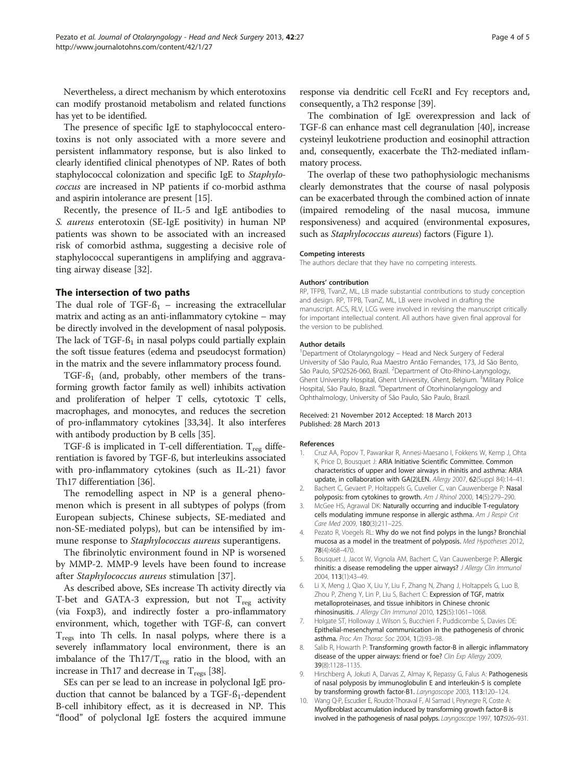<span id="page-3-0"></span>Nevertheless, a direct mechanism by which enterotoxins can modify prostanoid metabolism and related functions has yet to be identified.

The presence of specific IgE to staphylococcal enterotoxins is not only associated with a more severe and persistent inflammatory response, but is also linked to clearly identified clinical phenotypes of NP. Rates of both staphylococcal colonization and specific IgE to Staphylococcus are increased in NP patients if co-morbid asthma and aspirin intolerance are present [\[15\]](#page-4-0).

Recently, the presence of IL-5 and IgE antibodies to S. aureus enterotoxin (SE-IgE positivity) in human NP patients was shown to be associated with an increased risk of comorbid asthma, suggesting a decisive role of staphylococcal superantigens in amplifying and aggravating airway disease [\[32](#page-4-0)].

# The intersection of two paths

The dual role of TGF- $\beta_1$  – increasing the extracellular matrix and acting as an anti-inflammatory cytokine – may be directly involved in the development of nasal polyposis. The lack of  $TGF- $\beta_1$  in nasal polyps could partially explain$ the soft tissue features (edema and pseudocyst formation) in the matrix and the severe inflammatory process found.

TGF- $6<sub>1</sub>$  (and, probably, other members of the transforming growth factor family as well) inhibits activation and proliferation of helper T cells, cytotoxic T cells, macrophages, and monocytes, and reduces the secretion of pro-inflammatory cytokines [\[33,34\]](#page-4-0). It also interferes with antibody production by B cells [\[35\]](#page-4-0).

TGF-ß is implicated in T-cell differentiation.  $T_{reg}$  differentiation is favored by TGF-ß, but interleukins associated with pro-inflammatory cytokines (such as IL-21) favor Th17 differentiation [[36](#page-4-0)].

The remodelling aspect in NP is a general phenomenon which is present in all subtypes of polyps (from European subjects, Chinese subjects, SE-mediated and non-SE-mediated polyps), but can be intensified by immune response to Staphylococcus aureus superantigens.

The fibrinolytic environment found in NP is worsened by MMP-2. MMP-9 levels have been found to increase after Staphylococcus aureus stimulation [\[37](#page-4-0)].

As described above, SEs increase Th activity directly via T-bet and GATA-3 expression, but not  $T_{\text{reg}}$  activity (via Foxp3), and indirectly foster a pro-inflammatory environment, which, together with TGF-ß, can convert  $T_{\text{regs}}$  into Th cells. In nasal polyps, where there is a severely inflammatory local environment, there is an imbalance of the Th17/ $T_{reg}$  ratio in the blood, with an increase in Th17 and decrease in  $T_{\text{regs}}$  [\[38\]](#page-4-0).

SEs can per se lead to an increase in polyclonal IgE production that cannot be balanced by a  $TGF-S<sub>1</sub>$ -dependent B-cell inhibitory effect, as it is decreased in NP. This "flood" of polyclonal IgE fosters the acquired immune response via dendritic cell FcεRI and Fcγ receptors and, consequently, a Th2 response [\[39\]](#page-4-0).

The combination of IgE overexpression and lack of TGF-ß can enhance mast cell degranulation [\[40\]](#page-4-0), increase cysteinyl leukotriene production and eosinophil attraction and, consequently, exacerbate the Th2-mediated inflammatory process.

The overlap of these two pathophysiologic mechanisms clearly demonstrates that the course of nasal polyposis can be exacerbated through the combined action of innate (impaired remodeling of the nasal mucosa, immune responsiveness) and acquired (environmental exposures, such as *Staphylococcus aureus*) factors (Figure [1](#page-2-0)).

### Competing interests

The authors declare that they have no competing interests.

#### Authors' contribution

RP, TFPB, TvanZ, ML, LB made substantial contributions to study conception and design. RP, TFPB, TvanZ, ML, LB were involved in drafting the manuscript. ACS, RLV, LCG were involved in revising the manuscript critically for important intellectual content. All authors have given final approval for the version to be published.

#### Author details

<sup>1</sup>Department of Otolaryngology - Head and Neck Surgery of Federal University of São Paulo, Rua Maestro Antão Fernandes, 173, Jd São Bento, São Paulo, SP02526-060, Brazil. <sup>2</sup> Department of Oto-Rhino-Laryngology, Ghent University Hospital, Ghent University, Ghent, Belgium. <sup>3</sup>Military Police Hospital, São Paulo, Brazil. <sup>4</sup>Department of Otorhinolaryngology and Ophthalmology, University of São Paulo, São Paulo, Brazil.

#### Received: 21 November 2012 Accepted: 18 March 2013 Published: 28 March 2013

#### References

- 1. Cruz AA, Popov T, Pawankar R, Annesi-Maesano I, Fokkens W, Kemp J, Ohta K, Price D, Bousquet J: ARIA Initiative Scientific Committee. Common characteristics of upper and lower airways in rhinitis and asthma: ARIA update, in collaboration with GA(2)LEN. Allergy 2007, 62(Suppl 84):14-41.
- 2. Bachert C, Gevaert P, Holtappels G, Cuvelier C, van Cauwenberge P: Nasal polyposis: from cytokines to growth. Am J Rhinol 2000, 14(5):279-290.
- 3. McGee HS, Agrawal DK: Naturally occurring and inducible T-regulatory cells modulating immune response in allergic asthma. Am J Respir Crit Care Med 2009, 180(3):211–225.
- 4. Pezato R, Voegels RL: Why do we not find polyps in the lungs? Bronchial mucosa as a model in the treatment of polyposis. Med Hypotheses 2012, 78(4):468–470.
- 5. Bousquet J, Jacot W, Vignola AM, Bachert C, Van Cauwenberge P: Allergic rhinitis: a disease remodeling the upper airways? J Allergy Clin Immunol 2004, 113(1):43–49.
- 6. Li X, Meng J, Qiao X, Liu Y, Liu F, Zhang N, Zhang J, Holtappels G, Luo B, Zhou P, Zheng Y, Lin P, Liu S, Bachert C: Expression of TGF, matrix metalloproteinases, and tissue inhibitors in Chinese chronic rhinosinusitis. J Allergy Clin Immunol 2010, 125(5):1061–1068.
- 7. Holgate ST, Holloway J, Wilson S, Bucchieri F, Puddicombe S, Davies DE: Epithelial-mesenchymal communication in the pathogenesis of chronic asthma. Proc Am Thorac Soc 2004, 1(2):93–98.
- Salib R, Howarth P: Transforming growth factor-B in allergic inflammatory disease of the upper airways: friend or foe? Clin Exp Allergy 2009, 39(8):1128–1135.
- 9. Hirschberg A, Jokuti A, Darvas Z, Almay K, Repassy G, Falus A: Pathogenesis of nasal polyposis by immunoglobulin E and interleukin-5 is complete by transforming growth factor-B1. Laryngoscope 2003, 113:120–124.
- 10. Wang Q-P, Escudier E, Roudot-Thoraval F, Al Samad I, Peynegre R, Coste A: Myofibroblast accumulation induced by transforming growth factor-B is involved in the pathogenesis of nasal polyps. Laryngoscope 1997, 107:926–931.